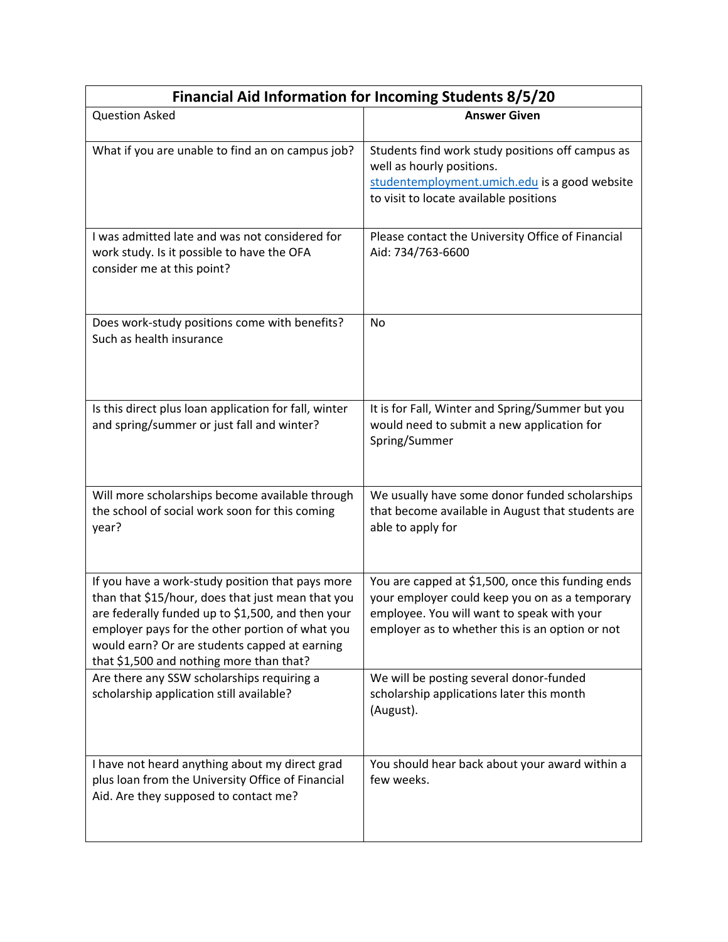| <b>Financial Aid Information for Incoming Students 8/5/20</b>                                                                                                                                                                                                                                              |                                                                                                                                                                                                      |  |
|------------------------------------------------------------------------------------------------------------------------------------------------------------------------------------------------------------------------------------------------------------------------------------------------------------|------------------------------------------------------------------------------------------------------------------------------------------------------------------------------------------------------|--|
| <b>Question Asked</b>                                                                                                                                                                                                                                                                                      | <b>Answer Given</b>                                                                                                                                                                                  |  |
| What if you are unable to find an on campus job?                                                                                                                                                                                                                                                           | Students find work study positions off campus as<br>well as hourly positions.<br>studentemployment.umich.edu is a good website<br>to visit to locate available positions                             |  |
| I was admitted late and was not considered for<br>work study. Is it possible to have the OFA<br>consider me at this point?                                                                                                                                                                                 | Please contact the University Office of Financial<br>Aid: 734/763-6600                                                                                                                               |  |
| Does work-study positions come with benefits?<br>Such as health insurance                                                                                                                                                                                                                                  | No                                                                                                                                                                                                   |  |
| Is this direct plus loan application for fall, winter<br>and spring/summer or just fall and winter?                                                                                                                                                                                                        | It is for Fall, Winter and Spring/Summer but you<br>would need to submit a new application for<br>Spring/Summer                                                                                      |  |
| Will more scholarships become available through<br>the school of social work soon for this coming<br>year?                                                                                                                                                                                                 | We usually have some donor funded scholarships<br>that become available in August that students are<br>able to apply for                                                                             |  |
| If you have a work-study position that pays more<br>than that \$15/hour, does that just mean that you<br>are federally funded up to \$1,500, and then your<br>employer pays for the other portion of what you<br>would earn? Or are students capped at earning<br>that \$1,500 and nothing more than that? | You are capped at \$1,500, once this funding ends<br>your employer could keep you on as a temporary<br>employee. You will want to speak with your<br>employer as to whether this is an option or not |  |
| Are there any SSW scholarships requiring a<br>scholarship application still available?                                                                                                                                                                                                                     | We will be posting several donor-funded<br>scholarship applications later this month<br>(August).                                                                                                    |  |
| I have not heard anything about my direct grad<br>plus loan from the University Office of Financial<br>Aid. Are they supposed to contact me?                                                                                                                                                               | You should hear back about your award within a<br>few weeks.                                                                                                                                         |  |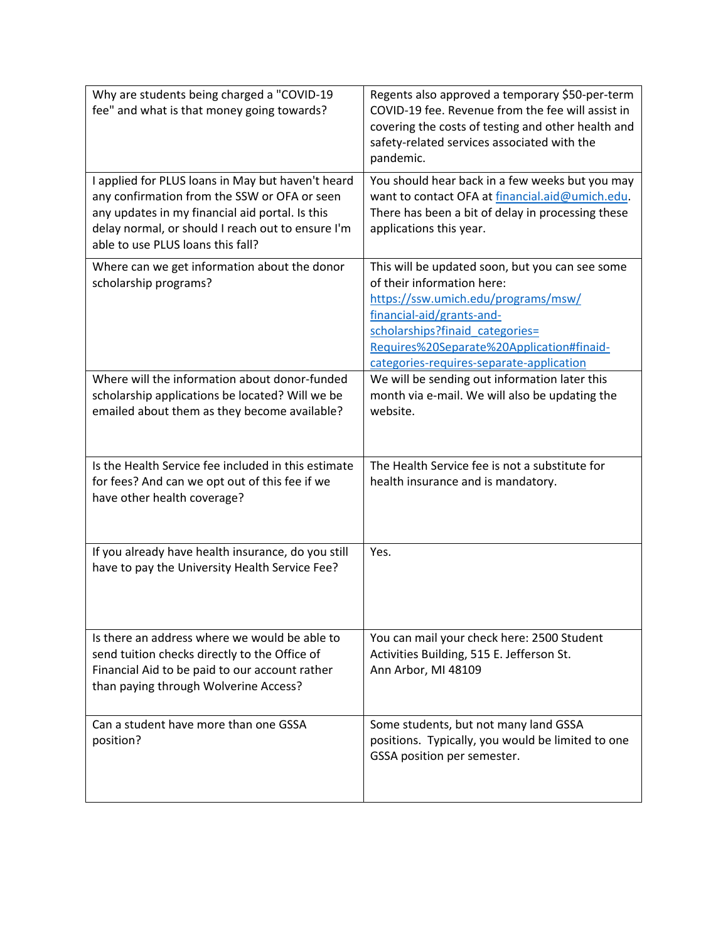| Why are students being charged a "COVID-19<br>fee" and what is that money going towards?                                                                                                                                                       | Regents also approved a temporary \$50-per-term<br>COVID-19 fee. Revenue from the fee will assist in<br>covering the costs of testing and other health and<br>safety-related services associated with the<br>pandemic.                                                        |
|------------------------------------------------------------------------------------------------------------------------------------------------------------------------------------------------------------------------------------------------|-------------------------------------------------------------------------------------------------------------------------------------------------------------------------------------------------------------------------------------------------------------------------------|
| I applied for PLUS loans in May but haven't heard<br>any confirmation from the SSW or OFA or seen<br>any updates in my financial aid portal. Is this<br>delay normal, or should I reach out to ensure I'm<br>able to use PLUS loans this fall? | You should hear back in a few weeks but you may<br>want to contact OFA at financial.aid@umich.edu.<br>There has been a bit of delay in processing these<br>applications this year.                                                                                            |
| Where can we get information about the donor<br>scholarship programs?                                                                                                                                                                          | This will be updated soon, but you can see some<br>of their information here:<br>https://ssw.umich.edu/programs/msw/<br>financial-aid/grants-and-<br>scholarships?finaid_categories=<br>Requires%20Separate%20Application#finaid-<br>categories-requires-separate-application |
| Where will the information about donor-funded<br>scholarship applications be located? Will we be<br>emailed about them as they become available?                                                                                               | We will be sending out information later this<br>month via e-mail. We will also be updating the<br>website.                                                                                                                                                                   |
| Is the Health Service fee included in this estimate<br>for fees? And can we opt out of this fee if we<br>have other health coverage?                                                                                                           | The Health Service fee is not a substitute for<br>health insurance and is mandatory.                                                                                                                                                                                          |
| If you already have health insurance, do you still<br>have to pay the University Health Service Fee?                                                                                                                                           | Yes.                                                                                                                                                                                                                                                                          |
| Is there an address where we would be able to<br>send tuition checks directly to the Office of<br>Financial Aid to be paid to our account rather<br>than paying through Wolverine Access?                                                      | You can mail your check here: 2500 Student<br>Activities Building, 515 E. Jefferson St.<br>Ann Arbor, MI 48109                                                                                                                                                                |
| Can a student have more than one GSSA<br>position?                                                                                                                                                                                             | Some students, but not many land GSSA<br>positions. Typically, you would be limited to one<br>GSSA position per semester.                                                                                                                                                     |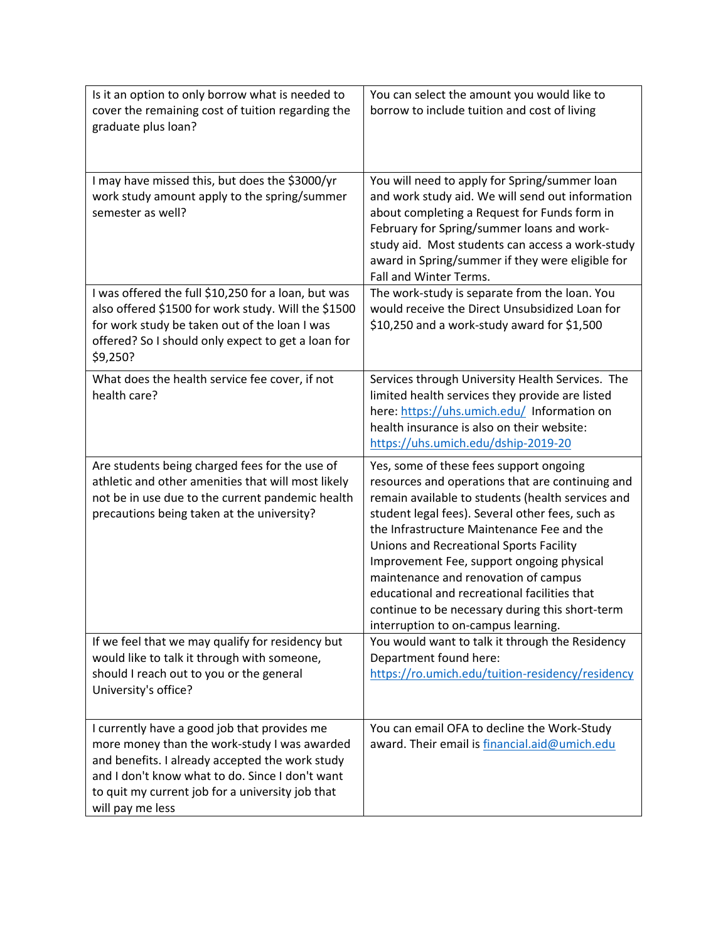| Is it an option to only borrow what is needed to<br>cover the remaining cost of tuition regarding the<br>graduate plus loan?                                                                                                                                               | You can select the amount you would like to<br>borrow to include tuition and cost of living                                                                                                                                                                                                                                                                                                                                                                                                                                  |
|----------------------------------------------------------------------------------------------------------------------------------------------------------------------------------------------------------------------------------------------------------------------------|------------------------------------------------------------------------------------------------------------------------------------------------------------------------------------------------------------------------------------------------------------------------------------------------------------------------------------------------------------------------------------------------------------------------------------------------------------------------------------------------------------------------------|
| I may have missed this, but does the \$3000/yr<br>work study amount apply to the spring/summer<br>semester as well?                                                                                                                                                        | You will need to apply for Spring/summer loan<br>and work study aid. We will send out information<br>about completing a Request for Funds form in<br>February for Spring/summer loans and work-<br>study aid. Most students can access a work-study<br>award in Spring/summer if they were eligible for<br>Fall and Winter Terms.                                                                                                                                                                                            |
| I was offered the full \$10,250 for a loan, but was<br>also offered \$1500 for work study. Will the \$1500<br>for work study be taken out of the loan I was<br>offered? So I should only expect to get a loan for<br>\$9,250?                                              | The work-study is separate from the loan. You<br>would receive the Direct Unsubsidized Loan for<br>\$10,250 and a work-study award for \$1,500                                                                                                                                                                                                                                                                                                                                                                               |
| What does the health service fee cover, if not<br>health care?                                                                                                                                                                                                             | Services through University Health Services. The<br>limited health services they provide are listed<br>here: https://uhs.umich.edu/ Information on<br>health insurance is also on their website:<br>https://uhs.umich.edu/dship-2019-20                                                                                                                                                                                                                                                                                      |
| Are students being charged fees for the use of<br>athletic and other amenities that will most likely<br>not be in use due to the current pandemic health<br>precautions being taken at the university?                                                                     | Yes, some of these fees support ongoing<br>resources and operations that are continuing and<br>remain available to students (health services and<br>student legal fees). Several other fees, such as<br>the Infrastructure Maintenance Fee and the<br>Unions and Recreational Sports Facility<br>Improvement Fee, support ongoing physical<br>maintenance and renovation of campus<br>educational and recreational facilities that<br>continue to be necessary during this short-term<br>interruption to on-campus learning. |
| If we feel that we may qualify for residency but<br>would like to talk it through with someone,<br>should I reach out to you or the general<br>University's office?                                                                                                        | You would want to talk it through the Residency<br>Department found here:<br>https://ro.umich.edu/tuition-residency/residency                                                                                                                                                                                                                                                                                                                                                                                                |
| I currently have a good job that provides me<br>more money than the work-study I was awarded<br>and benefits. I already accepted the work study<br>and I don't know what to do. Since I don't want<br>to quit my current job for a university job that<br>will pay me less | You can email OFA to decline the Work-Study<br>award. Their email is financial.aid@umich.edu                                                                                                                                                                                                                                                                                                                                                                                                                                 |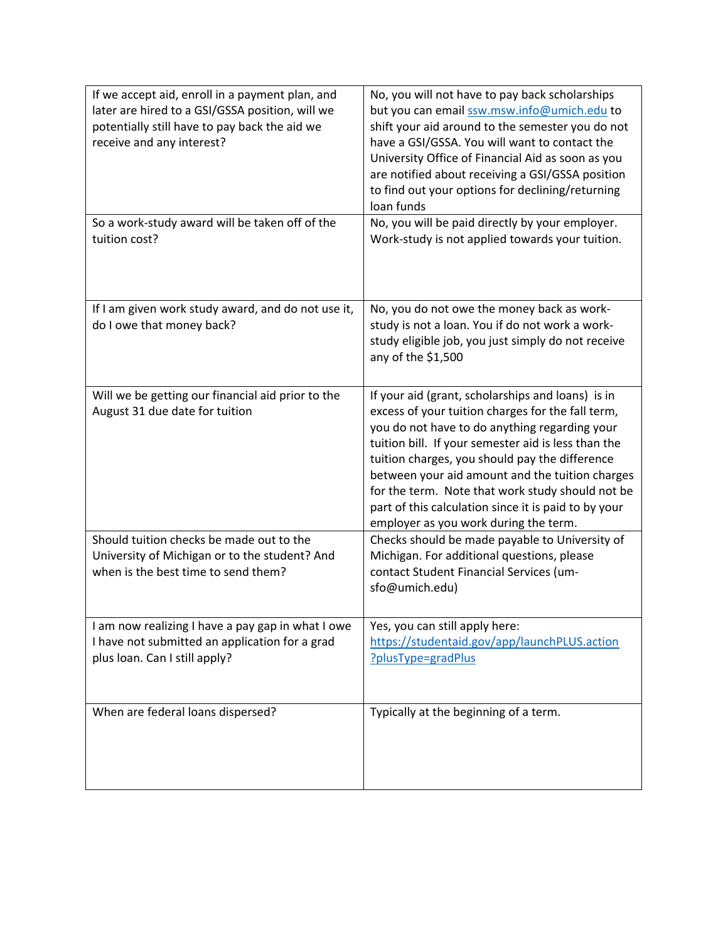| If we accept aid, enroll in a payment plan, and<br>later are hired to a GSI/GSSA position, will we<br>potentially still have to pay back the aid we<br>receive and any interest? | No, you will not have to pay back scholarships<br>but you can email ssw.msw.info@umich.edu to<br>shift your aid around to the semester you do not<br>have a GSI/GSSA. You will want to contact the<br>University Office of Financial Aid as soon as you<br>are notified about receiving a GSI/GSSA position<br>to find out your options for declining/returning<br>loan funds                                                                                            |
|----------------------------------------------------------------------------------------------------------------------------------------------------------------------------------|--------------------------------------------------------------------------------------------------------------------------------------------------------------------------------------------------------------------------------------------------------------------------------------------------------------------------------------------------------------------------------------------------------------------------------------------------------------------------|
| So a work-study award will be taken off of the<br>tuition cost?                                                                                                                  | No, you will be paid directly by your employer.<br>Work-study is not applied towards your tuition.                                                                                                                                                                                                                                                                                                                                                                       |
| If I am given work study award, and do not use it,<br>do I owe that money back?                                                                                                  | No, you do not owe the money back as work-<br>study is not a loan. You if do not work a work-<br>study eligible job, you just simply do not receive<br>any of the \$1,500                                                                                                                                                                                                                                                                                                |
| Will we be getting our financial aid prior to the<br>August 31 due date for tuition                                                                                              | If your aid (grant, scholarships and loans) is in<br>excess of your tuition charges for the fall term,<br>you do not have to do anything regarding your<br>tuition bill. If your semester aid is less than the<br>tuition charges, you should pay the difference<br>between your aid amount and the tuition charges<br>for the term. Note that work study should not be<br>part of this calculation since it is paid to by your<br>employer as you work during the term. |
| Should tuition checks be made out to the<br>University of Michigan or to the student? And<br>when is the best time to send them?                                                 | Checks should be made payable to University of<br>Michigan. For additional questions, please<br>contact Student Financial Services (um-<br>sfo@umich.edu)                                                                                                                                                                                                                                                                                                                |
| I am now realizing I have a pay gap in what I owe<br>I have not submitted an application for a grad<br>plus loan. Can I still apply?                                             | Yes, you can still apply here:<br>https://studentaid.gov/app/launchPLUS.action<br>?plusType=gradPlus                                                                                                                                                                                                                                                                                                                                                                     |
| When are federal loans dispersed?                                                                                                                                                | Typically at the beginning of a term.                                                                                                                                                                                                                                                                                                                                                                                                                                    |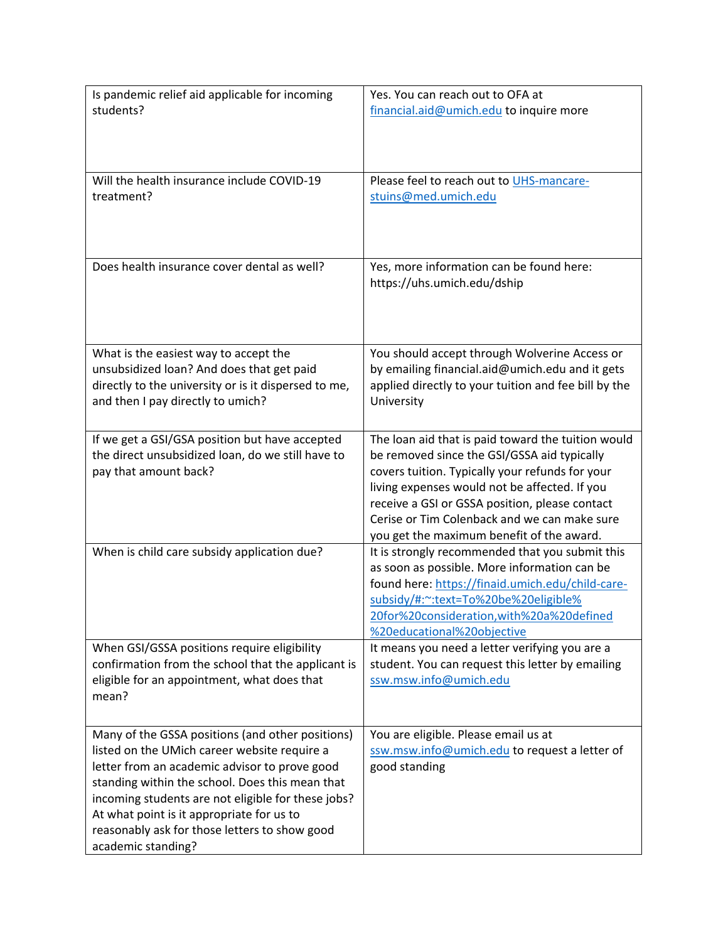| Is pandemic relief aid applicable for incoming<br>students?                                       | Yes. You can reach out to OFA at<br>financial.aid@umich.edu to inquire more                             |
|---------------------------------------------------------------------------------------------------|---------------------------------------------------------------------------------------------------------|
|                                                                                                   |                                                                                                         |
|                                                                                                   |                                                                                                         |
| Will the health insurance include COVID-19<br>treatment?                                          | Please feel to reach out to UHS-mancare-<br>stuins@med.umich.edu                                        |
|                                                                                                   |                                                                                                         |
|                                                                                                   |                                                                                                         |
| Does health insurance cover dental as well?                                                       | Yes, more information can be found here:<br>https://uhs.umich.edu/dship                                 |
|                                                                                                   |                                                                                                         |
|                                                                                                   |                                                                                                         |
| What is the easiest way to accept the                                                             | You should accept through Wolverine Access or                                                           |
| unsubsidized loan? And does that get paid<br>directly to the university or is it dispersed to me, | by emailing financial.aid@umich.edu and it gets<br>applied directly to your tuition and fee bill by the |
| and then I pay directly to umich?                                                                 | University                                                                                              |
| If we get a GSI/GSA position but have accepted                                                    | The loan aid that is paid toward the tuition would                                                      |
| the direct unsubsidized loan, do we still have to                                                 | be removed since the GSI/GSSA aid typically                                                             |
| pay that amount back?                                                                             | covers tuition. Typically your refunds for your<br>living expenses would not be affected. If you        |
|                                                                                                   | receive a GSI or GSSA position, please contact                                                          |
|                                                                                                   | Cerise or Tim Colenback and we can make sure<br>you get the maximum benefit of the award.               |
| When is child care subsidy application due?                                                       | It is strongly recommended that you submit this                                                         |
|                                                                                                   | as soon as possible. More information can be<br>found here: https://finaid.umich.edu/child-care-        |
|                                                                                                   | subsidy/#:~:text=To%20be%20eligible%<br>20for%20consideration.with%20a%20defined                        |
|                                                                                                   | %20educational%20objective                                                                              |
| When GSI/GSSA positions require eligibility<br>confirmation from the school that the applicant is | It means you need a letter verifying you are a<br>student. You can request this letter by emailing      |
| eligible for an appointment, what does that                                                       | ssw.msw.info@umich.edu                                                                                  |
| mean?                                                                                             |                                                                                                         |
| Many of the GSSA positions (and other positions)                                                  | You are eligible. Please email us at                                                                    |
| listed on the UMich career website require a<br>letter from an academic advisor to prove good     | ssw.msw.info@umich.edu to request a letter of<br>good standing                                          |
| standing within the school. Does this mean that                                                   |                                                                                                         |
| incoming students are not eligible for these jobs?                                                |                                                                                                         |
| At what point is it appropriate for us to<br>reasonably ask for those letters to show good        |                                                                                                         |
| academic standing?                                                                                |                                                                                                         |